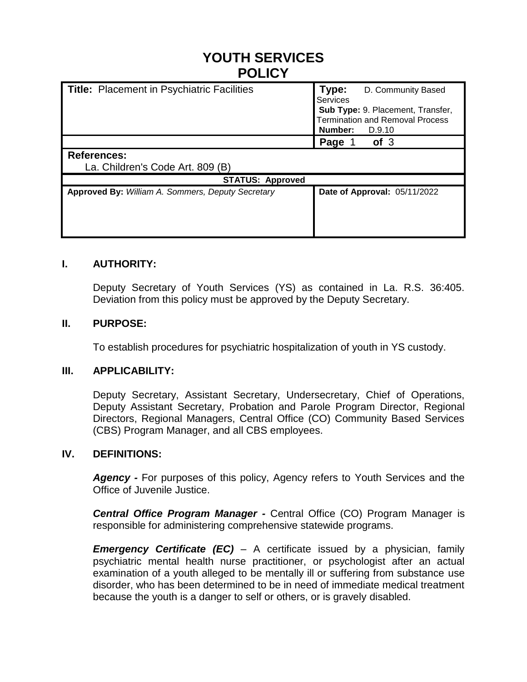# **YOUTH SERVICES POLICY**

| <b>Title: Placement in Psychiatric Facilities</b>      | Type:<br>D. Community Based<br>Services<br>Sub Type: 9. Placement, Transfer,<br><b>Termination and Removal Process</b><br>Number:<br>D.9.10 |
|--------------------------------------------------------|---------------------------------------------------------------------------------------------------------------------------------------------|
|                                                        | of <sub>3</sub><br>Page 1                                                                                                                   |
| <b>References:</b><br>La. Children's Code Art. 809 (B) |                                                                                                                                             |
| <b>STATUS: Approved</b>                                |                                                                                                                                             |
| Approved By: William A. Sommers, Deputy Secretary      | Date of Approval: 05/11/2022                                                                                                                |

## **I. AUTHORITY:**

Deputy Secretary of Youth Services (YS) as contained in La. R.S. 36:405. Deviation from this policy must be approved by the Deputy Secretary.

### **II. PURPOSE:**

To establish procedures for psychiatric hospitalization of youth in YS custody.

### **III. APPLICABILITY:**

Deputy Secretary, Assistant Secretary, Undersecretary, Chief of Operations, Deputy Assistant Secretary, Probation and Parole Program Director, Regional Directors, Regional Managers, Central Office (CO) Community Based Services (CBS) Program Manager, and all CBS employees.

#### **IV. DEFINITIONS:**

*Agency -* For purposes of this policy, Agency refers to Youth Services and the Office of Juvenile Justice.

*Central Office Program Manager -* Central Office (CO) Program Manager is responsible for administering comprehensive statewide programs.

*Emergency Certificate (EC)* – A certificate issued by a physician, family psychiatric mental health nurse practitioner, or psychologist after an actual examination of a youth alleged to be mentally ill or suffering from substance use disorder, who has been determined to be in need of immediate medical treatment because the youth is a danger to self or others, or is gravely disabled.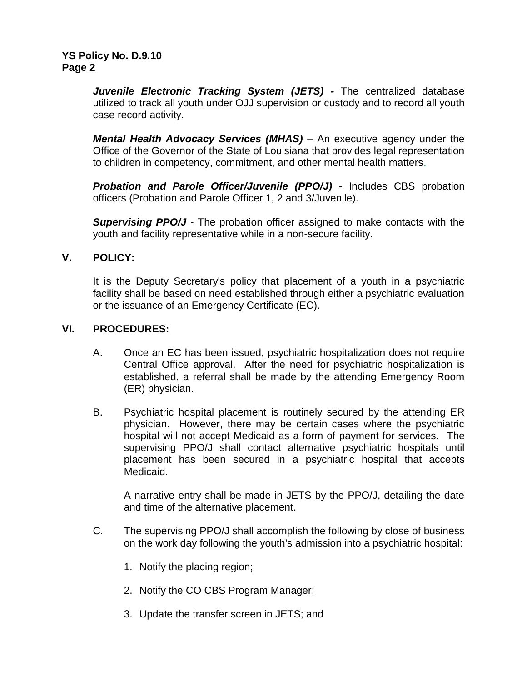*Juvenile Electronic Tracking System (JETS) -* The centralized database utilized to track all youth under OJJ supervision or custody and to record all youth case record activity.

*Mental Health Advocacy Services (MHAS)* – An executive agency under the Office of the Governor of the State of Louisiana that provides legal representation to children in competency, commitment, and other mental health matters.

**Probation and Parole Officer/Juvenile (PPO/J)** - Includes CBS probation officers (Probation and Parole Officer 1, 2 and 3/Juvenile).

**Supervising PPO/J** - The probation officer assigned to make contacts with the youth and facility representative while in a non-secure facility.

# **V. POLICY:**

It is the Deputy Secretary's policy that placement of a youth in a psychiatric facility shall be based on need established through either a psychiatric evaluation or the issuance of an Emergency Certificate (EC).

# **VI. PROCEDURES:**

- A. Once an EC has been issued, psychiatric hospitalization does not require Central Office approval. After the need for psychiatric hospitalization is established, a referral shall be made by the attending Emergency Room (ER) physician.
- B. Psychiatric hospital placement is routinely secured by the attending ER physician. However, there may be certain cases where the psychiatric hospital will not accept Medicaid as a form of payment for services. The supervising PPO/J shall contact alternative psychiatric hospitals until placement has been secured in a psychiatric hospital that accepts Medicaid.

A narrative entry shall be made in JETS by the PPO/J, detailing the date and time of the alternative placement.

- C. The supervising PPO/J shall accomplish the following by close of business on the work day following the youth's admission into a psychiatric hospital:
	- 1. Notify the placing region;
	- 2. Notify the CO CBS Program Manager;
	- 3. Update the transfer screen in JETS; and